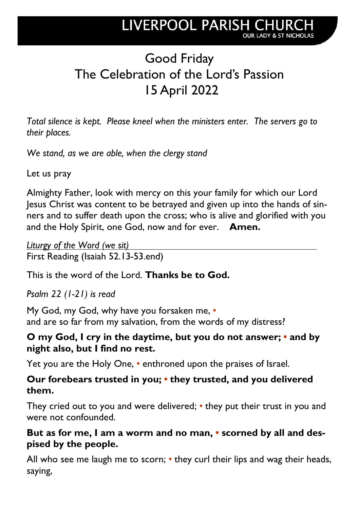# Good Friday The Celebration of the Lord's Passion 15 April 2022

*Total silence is kept. Please kneel when the ministers enter. The servers go to their places.*

*We stand, as we are able, when the clergy stand*

Let us pray

Almighty Father, look with mercy on this your family for which our Lord Jesus Christ was content to be betrayed and given up into the hands of sinners and to suffer death upon the cross; who is alive and glorified with you and the Holy Spirit, one God, now and for ever. **Amen.**

*Liturgy of the Word (we sit)* First Reading (Isaiah 52.13-53.end)

This is the word of the Lord. **Thanks be to God.**

*Psalm 22 (1-21) is read* 

My God, my God, why have you forsaken me, *•* and are so far from my salvation, from the words of my distress?

### **O my God, I cry in the daytime, but you do not answer;** *•* **and by night also, but I find no rest.**

Yet you are the Holy One, *•* enthroned upon the praises of Israel.

#### **Our forebears trusted in you;** *•* **they trusted, and you delivered them.**

They cried out to you and were delivered; *•* they put their trust in you and were not confounded.

### **But as for me, I am a worm and no man,** *•* **scorned by all and despised by the people.**

All who see me laugh me to scorn; *•* they curl their lips and wag their heads, saying,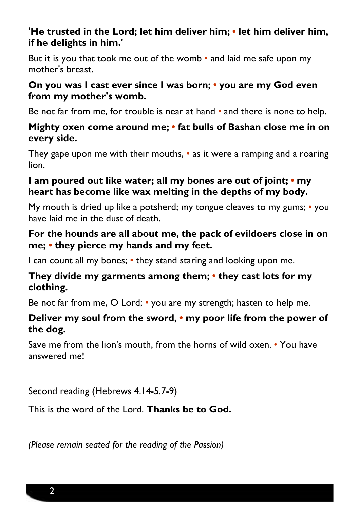#### **'He trusted in the Lord; let him deliver him;** *•* **let him deliver him, if he delights in him.'**

But it is you that took me out of the womb *•* and laid me safe upon my mother's breast.

#### **On you was I cast ever since I was born;** *•* **you are my God even from my mother's womb.**

Be not far from me, for trouble is near at hand *•* and there is none to help.

#### **Mighty oxen come around me;** *•* **fat bulls of Bashan close me in on every side.**

They gape upon me with their mouths, *•* as it were a ramping and a roaring lion.

#### **I am poured out like water; all my bones are out of joint;** *•* **my heart has become like wax melting in the depths of my body.**

My mouth is dried up like a potsherd; my tongue cleaves to my gums; *•* you have laid me in the dust of death.

#### **For the hounds are all about me, the pack of evildoers close in on me;** *•* **they pierce my hands and my feet.**

I can count all my bones; *•* they stand staring and looking upon me.

#### **They divide my garments among them;** *•* **they cast lots for my clothing.**

Be not far from me, O Lord; *•* you are my strength; hasten to help me.

## **Deliver my soul from the sword,** *•* **my poor life from the power of the dog.**

Save me from the lion's mouth, from the horns of wild oxen. *•* You have answered me!

Second reading (Hebrews 4.14-5.7-9)

This is the word of the Lord. **Thanks be to God.**

*(Please remain seated for the reading of the Passion)*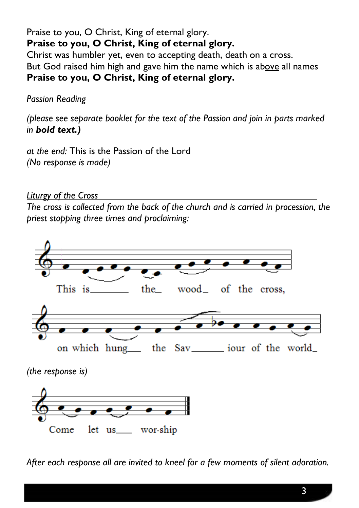#### Praise to you, O Christ, King of eternal glory. **Praise to you, O Christ, King of eternal glory.**

Christ was humbler yet, even to accepting death, death on a cross. But God raised him high and gave him the name which is above all names **Praise to you, O Christ, King of eternal glory.**

#### *Passion Reading*

*(please see separate booklet for the text of the Passion and join in parts marked in bold text.)*

*at the end:* This is the Passion of the Lord *(No response is made)* 

*Liturgy of the Cross*

*The cross is collected from the back of the church and is carried in procession, the priest stopping three times and proclaiming:*



*After each response all are invited to kneel for a few moments of silent adoration.*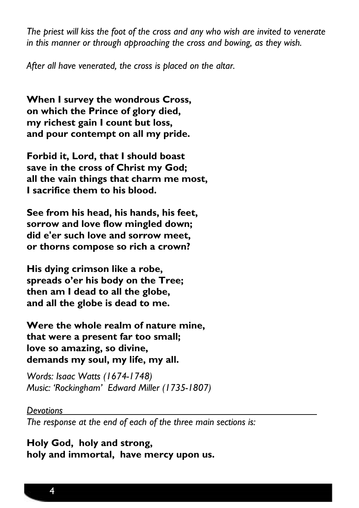*The priest will kiss the foot of the cross and any who wish are invited to venerate in this manner or through approaching the cross and bowing, as they wish.* 

*After all have venerated, the cross is placed on the altar.*

**When I survey the wondrous Cross, on which the Prince of glory died, my richest gain I count but loss, and pour contempt on all my pride.**

**Forbid it, Lord, that I should boast save in the cross of Christ my God; all the vain things that charm me most, I sacrifice them to his blood.**

**See from his head, his hands, his feet, sorrow and love flow mingled down; did e'er such love and sorrow meet, or thorns compose so rich a crown?**

**His dying crimson like a robe, spreads o'er his body on the Tree; then am I dead to all the globe, and all the globe is dead to me.**

**Were the whole realm of nature mine, that were a present far too small; love so amazing, so divine, demands my soul, my life, my all.**

*Words: Isaac Watts (1674-1748) Music: 'Rockingham' Edward Miller (1735-1807)*

#### *Devotions*

*The response at the end of each of the three main sections is:*

**Holy God, holy and strong, holy and immortal, have mercy upon us.**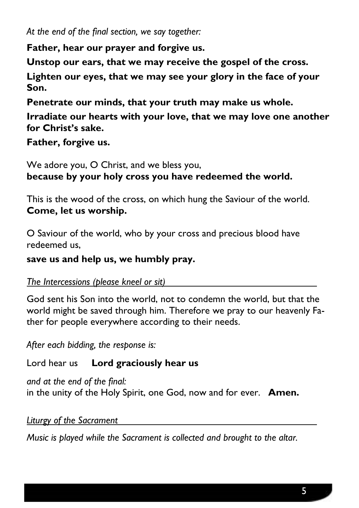*At the end of the final section, we say together:*

**Father, hear our prayer and forgive us.**

**Unstop our ears, that we may receive the gospel of the cross.** 

**Lighten our eyes, that we may see your glory in the face of your Son.** 

**Penetrate our minds, that your truth may make us whole.** 

**Irradiate our hearts with your love, that we may love one another for Christ's sake.** 

**Father, forgive us.**

We adore you, O Christ, and we bless you, **because by your holy cross you have redeemed the world.**

This is the wood of the cross, on which hung the Saviour of the world. **Come, let us worship.**

O Saviour of the world, who by your cross and precious blood have redeemed us,

**save us and help us, we humbly pray.**

*The Intercessions (please kneel or sit)*

God sent his Son into the world, not to condemn the world, but that the world might be saved through him. Therefore we pray to our heavenly Father for people everywhere according to their needs.

*After each bidding, the response is:*

Lord hear us **Lord graciously hear us**

*and at the end of the final:* in the unity of the Holy Spirit, one God, now and for ever.**Amen.**

*Liturgy of the Sacrament*

*Music is played while the Sacrament is collected and brought to the altar.*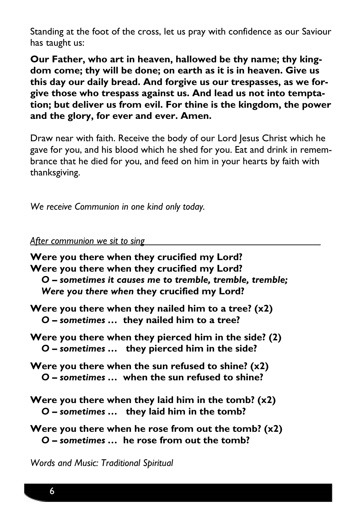Standing at the foot of the cross, let us pray with confidence as our Saviour has taught us:

**Our Father, who art in heaven, hallowed be thy name; thy kingdom come; thy will be done; on earth as it is in heaven. Give us this day our daily bread. And forgive us our trespasses, as we forgive those who trespass against us. And lead us not into temptation; but deliver us from evil. For thine is the kingdom, the power and the glory, for ever and ever. Amen.**

Draw near with faith. Receive the body of our Lord Jesus Christ which he gave for you, and his blood which he shed for you. Eat and drink in remembrance that he died for you, and feed on him in your hearts by faith with thanksgiving.

*We receive Communion in one kind only today.*

#### *After communion we sit to sing*

**Were you there when they crucified my Lord? Were you there when they crucified my Lord?** *O – sometimes it causes me to tremble, tremble, tremble; Were you there when* **they crucified my Lord? Were you there when they nailed him to a tree? (x2)** *O – sometimes …* **they nailed him to a tree? Were you there when they pierced him in the side? (2)** *O – sometimes …* **they pierced him in the side? Were you there when the sun refused to shine? (x2)** *O – sometimes …* **when the sun refused to shine? Were you there when they laid him in the tomb? (x2)** *O – sometimes …* **they laid him in the tomb?**

**Were you there when he rose from out the tomb? (x2)** *O – sometimes …* **he rose from out the tomb?**

*Words and Music: Traditional Spiritual*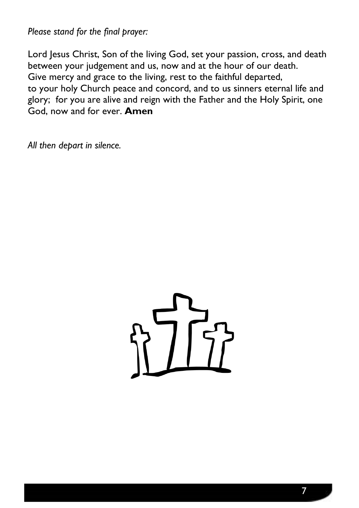*Please stand for the final prayer:*

Lord Jesus Christ, Son of the living God, set your passion, cross, and death between your judgement and us, now and at the hour of our death. Give mercy and grace to the living, rest to the faithful departed, to your holy Church peace and concord, and to us sinners eternal life and glory; for you are alive and reign with the Father and the Holy Spirit, one God, now and for ever. **Amen**

*All then depart in silence.*